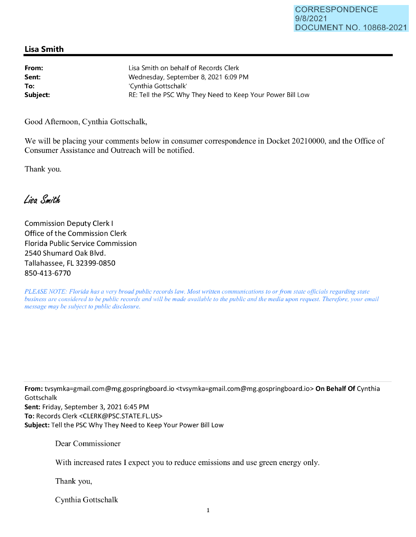## **Lisa Smith**

| From:    | Lisa Smith on behalf of Records Clerk                      |
|----------|------------------------------------------------------------|
| Sent:    | Wednesday, September 8, 2021 6:09 PM                       |
| To:      | 'Cynthia Gottschalk'                                       |
| Subject: | RE: Tell the PSC Why They Need to Keep Your Power Bill Low |

Good Afternoon, Cynthia Gottschalk,

We will be placing your comments below in consumer correspondence in Docket 20210000, and the Office of Consumer Assistance and Outreach will be notified.

Thank you.

Lisa Smith

Commission Deputy Clerk I Office of the Commission Clerk Florida Public Service Commission 2540 Shumard Oak Blvd. Tallahassee, FL 32399-0850 850-413-6770

*PLEASE NOTE: Florida has a very broad public records law. Most written communications to or from state officials regarding state business are considered to be public records and will be made available to the public and the media upon request. Therefore, your email message may be subject to public disclosure.* 

**From:** tvsymka=gmail.com@mg.gospringboard.io <tvsymka=gmail.com@mg.gospringboard.io> **On Behalf Of** Cynthia Gottschalk

**Sent:** Friday, September 3, 2021 6:45 PM **To:** Records Clerk <CLERK@PSC.STATE.FL.US> **Subject:** Tell the PSC Why They Need to Keep Your Power Bill Low

Dear Commissioner

With increased rates I expect you to reduce emissions and use green energy only.

Thank you,

Cynthia Gottschalk